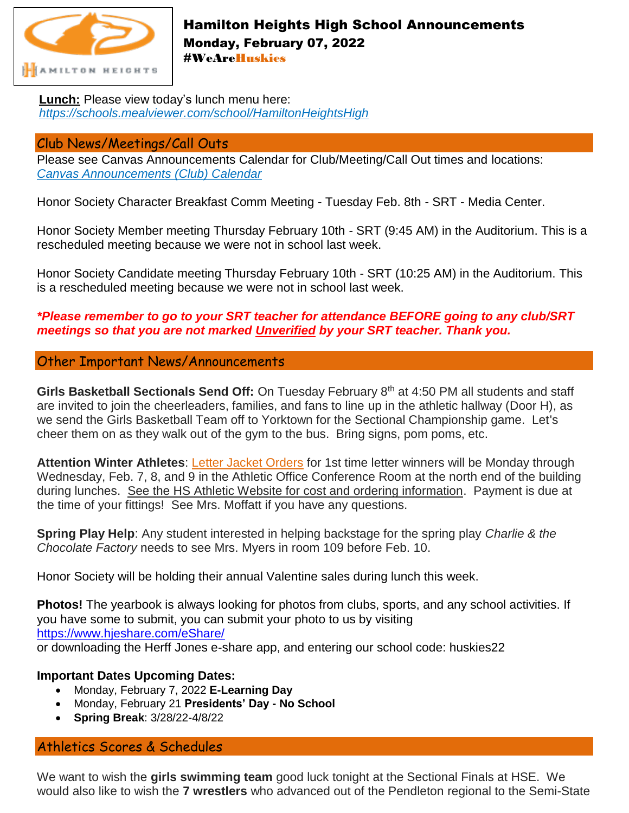

## Hamilton Heights High School Announcements Monday, February 07, 2022 #WeAreHuskies

**Lunch:** Please view today's lunch menu here: *<https://schools.mealviewer.com/school/HamiltonHeightsHigh>*

## Club News/Meetings/Call Outs

Please see Canvas Announcements Calendar for Club/Meeting/Call Out times and locations: *[Canvas Announcements \(Club\) Calendar](https://hhsc.instructure.com/calendar#view_name=month&view)*

Honor Society Character Breakfast Comm Meeting - Tuesday Feb. 8th - SRT - Media Center.

Honor Society Member meeting Thursday February 10th - SRT (9:45 AM) in the Auditorium. This is a rescheduled meeting because we were not in school last week.

Honor Society Candidate meeting Thursday February 10th - SRT (10:25 AM) in the Auditorium. This is a rescheduled meeting because we were not in school last week.

## *\*Please remember to go to your SRT teacher for attendance BEFORE going to any club/SRT meetings so that you are not marked Unverified by your SRT teacher. Thank you.*

### Other Important News/Announcements

**Girls Basketball Sectionals Send Off:** On Tuesday February 8th at 4:50 PM all students and staff are invited to join the cheerleaders, families, and fans to line up in the athletic hallway (Door H), as we send the Girls Basketball Team off to Yorktown for the Sectional Championship game. Let's cheer them on as they walk out of the gym to the bus. Bring signs, pom poms, etc.

Attention Winter Athletes: Letter Jacket Orders for 1st time letter winners will be Monday through Wednesday, Feb. 7, 8, and 9 in the Athletic Office Conference Room at the north end of the building during lunches. See the HS Athletic Website for cost and ordering information. Payment is due at the time of your fittings! See Mrs. Moffatt if you have any questions.

**Spring Play Help**: Any student interested in helping backstage for the spring play *Charlie & the Chocolate Factory* needs to see Mrs. Myers in room 109 before Feb. 10.

Honor Society will be holding their annual Valentine sales during lunch this week.

**Photos!** The yearbook is always looking for photos from clubs, sports, and any school activities. If you have some to submit, you can submit your photo to us by visiting [https://www.hjeshare.com/eShare/](https://l.facebook.com/l.php?u=https%3A%2F%2Fwww.hjeshare.com%2FeShare%2F%3Ffbclid%3DIwAR28xq7nALhtDOmW249LzbwpDnOpIAh0_uR2bLXS7KhHTh320SzA7UIWGSI&h=AT1pdM8crP7DNYstkEe_1r4uktyuDOKPFPxUgNcw1IQRY1kxq0JUfQZ-v_IfHjjGla5EC5ukdcIaNfK87fS61aF7CHP2oZ_ZRrf0SAtpFJxg7gBsKcppyatppACf_vQ1ritU2Xovwg&__tn__=-UK-R&c%5b0%5d=AT2ZHto5vcAAyHJjTbBIQ-Hor4P_ZbkDt2QinhVrcZWa-LX-sT7RQD3-DU_W21O5g7CNeq67BkbhQpkV4-rtEtnl8SWVDLTKYtN0tN9mWY8oBVd349ZaybnmXThPvZytejqDBn2bMwu1ySDY4MgXZP_Pyl35-k-yFZJHRpzUZD997QHnhMr1pI1MYVuhC7Eov7o4) or downloading the Herff Jones e-share app, and entering our school code: huskies22

#### **Important Dates Upcoming Dates:**

- Monday, February 7, 2022 **E-Learning Day**
- Monday, February 21 **Presidents' Day - No School**
- **Spring Break**: 3/28/22-4/8/22

# Athletics Scores & Schedules

We want to wish the **girls swimming team** good luck tonight at the Sectional Finals at HSE. We would also like to wish the **7 wrestlers** who advanced out of the Pendleton regional to the Semi-State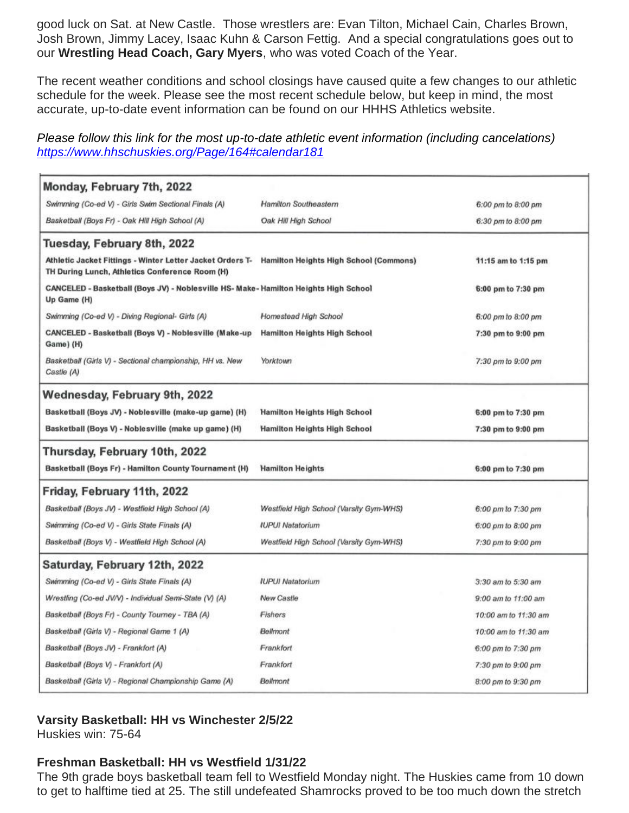good luck on Sat. at New Castle. Those wrestlers are: Evan Tilton, Michael Cain, Charles Brown, Josh Brown, Jimmy Lacey, Isaac Kuhn & Carson Fettig. And a special congratulations goes out to our **Wrestling Head Coach, Gary Myers**, who was voted Coach of the Year.

The recent weather conditions and school closings have caused quite a few changes to our athletic schedule for the week. Please see the most recent schedule below, but keep in mind, the most accurate, up-to-date event information can be found on our HHHS Athletics website.

*Please follow this link for the most up-to-date athletic event information (including cancelations) <https://www.hhschuskies.org/Page/164#calendar181>*

| Monday, February 7th, 2022                                                                                                                         |                                         |                      |
|----------------------------------------------------------------------------------------------------------------------------------------------------|-----------------------------------------|----------------------|
| Swimming (Co-ed V) - Girls Swim Sectional Finals (A)                                                                                               | Hamilton Southeastern                   | 6:00 pm to 8:00 pm   |
| Basketball (Boys Fr) - Oak Hill High School (A)                                                                                                    | Oak Hill High School                    | 6:30 pm to 8:00 pm   |
| Tuesday, February 8th, 2022                                                                                                                        |                                         |                      |
| Athletic Jacket Fittings - Winter Letter Jacket Orders T- Hamilton Heights High School (Commons)<br>TH During Lunch, Athletics Conference Room (H) |                                         | 11:15 am to 1:15 pm  |
| CANCELED - Basketball (Boys JV) - Noblesville HS- Make- Hamilton Heights High School<br>Up Game (H)                                                |                                         | 6:00 pm to 7:30 pm   |
| Swimming (Co-ed V) - Diving Regional- Girls (A)                                                                                                    | Homestead High School                   | 6:00 pm to 8:00 pm   |
| CANCELED - Basketball (Boys V) - Noblesville (Make-up<br>Game) (H)                                                                                 | <b>Hamilton Heights High School</b>     | 7:30 pm to 9:00 pm   |
| Basketball (Girls V) - Sectional championship, HH vs. New<br>Castle (A)                                                                            | Yorktown                                | 7:30 pm to 9:00 pm   |
| Wednesday, February 9th, 2022                                                                                                                      |                                         |                      |
| Basketball (Boys JV) - Noblesville (make-up game) (H)                                                                                              | <b>Hamilton Heights High School</b>     | 6:00 pm to 7:30 pm   |
| Basketball (Boys V) - Noblesville (make up game) (H)                                                                                               | <b>Hamilton Heights High School</b>     | 7:30 pm to 9:00 pm   |
| Thursday, February 10th, 2022                                                                                                                      |                                         |                      |
| Basketball (Boys Fr) - Hamilton County Tournament (H)                                                                                              | <b>Hamilton Heights</b>                 | 6:00 pm to 7:30 pm   |
| Friday, February 11th, 2022                                                                                                                        |                                         |                      |
| Basketball (Boys JV) - Westfield High School (A)                                                                                                   | Westfield High School (Varsity Gym-WHS) | 6:00 pm to 7:30 pm   |
| Swimming (Co-ed V) - Girls State Finals (A)                                                                                                        | <b>IUPUI Natatorium</b>                 | 6:00 pm to 8:00 pm   |
| Basketball (Boys V) - Westfield High School (A)                                                                                                    | Westfield High School (Varsity Gym-WHS) | 7:30 pm to 9:00 pm   |
| Saturday, February 12th, 2022                                                                                                                      |                                         |                      |
| Swimming (Co-ed V) - Girls State Finals (A)                                                                                                        | <b>IUPUI Natatorium</b>                 | 3:30 am to 5:30 am   |
| Wrestling (Co-ed JV/V) - Individual Semi-State (V) (A)                                                                                             | New Castle                              | 9:00 am to 11:00 am  |
| Basketball (Boys Fr) - County Tourney - TBA (A)                                                                                                    | Fishers                                 | 10:00 am to 11:30 am |
| Basketball (Girls V) - Regional Game 1 (A)                                                                                                         | Bellmont                                | 10:00 am to 11:30 am |
| Basketball (Boys JV) - Frankfort (A)                                                                                                               | Frankfort                               | 6:00 pm to 7:30 pm   |
| Basketball (Boys V) - Frankfort (A)                                                                                                                | Frankfort                               | 7:30 pm to 9:00 pm   |
| Basketball (Girls V) - Regional Championship Game (A)                                                                                              | Bellmont                                | 8:00 pm to 9:30 pm   |

#### **Varsity Basketball: HH vs Winchester 2/5/22**

Huskies win: 75-64

#### **Freshman Basketball: HH vs Westfield 1/31/22**

The 9th grade boys basketball team fell to Westfield Monday night. The Huskies came from 10 down to get to halftime tied at 25. The still undefeated Shamrocks proved to be too much down the stretch